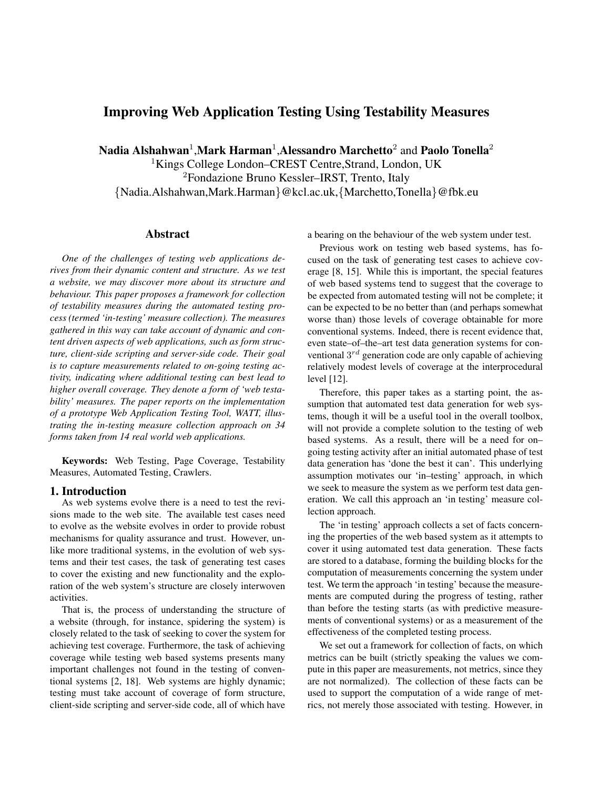# Improving Web Application Testing Using Testability Measures

Nadia Alshahwan $^1$ ,Mark Harman $^1$ ,Alessandro Marchetto $^2$  and Paolo Tonella $^2$ <sup>1</sup>Kings College London–CREST Centre, Strand, London, UK <sup>2</sup>Fondazione Bruno Kessler–IRST, Trento, Italy {Nadia.Alshahwan,Mark.Harman}@kcl.ac.uk,{Marchetto,Tonella}@fbk.eu

### Abstract

*One of the challenges of testing web applications derives from their dynamic content and structure. As we test a website, we may discover more about its structure and behaviour. This paper proposes a framework for collection of testability measures during the automated testing process (termed 'in-testing' measure collection). The measures gathered in this way can take account of dynamic and content driven aspects of web applications, such as form structure, client-side scripting and server-side code. Their goal is to capture measurements related to on-going testing activity, indicating where additional testing can best lead to higher overall coverage. They denote a form of 'web testability' measures. The paper reports on the implementation of a prototype Web Application Testing Tool, WATT, illustrating the in-testing measure collection approach on 34 forms taken from 14 real world web applications.*

Keywords: Web Testing, Page Coverage, Testability Measures, Automated Testing, Crawlers.

#### 1. Introduction

As web systems evolve there is a need to test the revisions made to the web site. The available test cases need to evolve as the website evolves in order to provide robust mechanisms for quality assurance and trust. However, unlike more traditional systems, in the evolution of web systems and their test cases, the task of generating test cases to cover the existing and new functionality and the exploration of the web system's structure are closely interwoven activities.

That is, the process of understanding the structure of a website (through, for instance, spidering the system) is closely related to the task of seeking to cover the system for achieving test coverage. Furthermore, the task of achieving coverage while testing web based systems presents many important challenges not found in the testing of conventional systems [2, 18]. Web systems are highly dynamic; testing must take account of coverage of form structure, client-side scripting and server-side code, all of which have a bearing on the behaviour of the web system under test.

Previous work on testing web based systems, has focused on the task of generating test cases to achieve coverage [8, 15]. While this is important, the special features of web based systems tend to suggest that the coverage to be expected from automated testing will not be complete; it can be expected to be no better than (and perhaps somewhat worse than) those levels of coverage obtainable for more conventional systems. Indeed, there is recent evidence that, even state–of–the–art test data generation systems for conventional  $3^{rd}$  generation code are only capable of achieving relatively modest levels of coverage at the interprocedural level [12].

Therefore, this paper takes as a starting point, the assumption that automated test data generation for web systems, though it will be a useful tool in the overall toolbox, will not provide a complete solution to the testing of web based systems. As a result, there will be a need for on– going testing activity after an initial automated phase of test data generation has 'done the best it can'. This underlying assumption motivates our 'in–testing' approach, in which we seek to measure the system as we perform test data generation. We call this approach an 'in testing' measure collection approach.

The 'in testing' approach collects a set of facts concerning the properties of the web based system as it attempts to cover it using automated test data generation. These facts are stored to a database, forming the building blocks for the computation of measurements concerning the system under test. We term the approach 'in testing' because the measurements are computed during the progress of testing, rather than before the testing starts (as with predictive measurements of conventional systems) or as a measurement of the effectiveness of the completed testing process.

We set out a framework for collection of facts, on which metrics can be built (strictly speaking the values we compute in this paper are measurements, not metrics, since they are not normalized). The collection of these facts can be used to support the computation of a wide range of metrics, not merely those associated with testing. However, in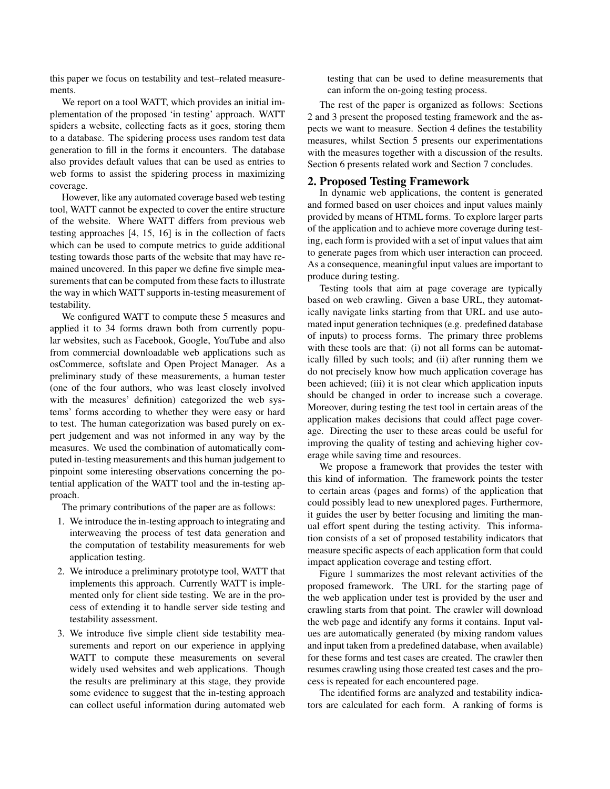this paper we focus on testability and test–related measurements.

We report on a tool WATT, which provides an initial implementation of the proposed 'in testing' approach. WATT spiders a website, collecting facts as it goes, storing them to a database. The spidering process uses random test data generation to fill in the forms it encounters. The database also provides default values that can be used as entries to web forms to assist the spidering process in maximizing coverage.

However, like any automated coverage based web testing tool, WATT cannot be expected to cover the entire structure of the website. Where WATT differs from previous web testing approaches [4, 15, 16] is in the collection of facts which can be used to compute metrics to guide additional testing towards those parts of the website that may have remained uncovered. In this paper we define five simple measurements that can be computed from these facts to illustrate the way in which WATT supports in-testing measurement of testability.

We configured WATT to compute these 5 measures and applied it to 34 forms drawn both from currently popular websites, such as Facebook, Google, YouTube and also from commercial downloadable web applications such as osCommerce, softslate and Open Project Manager. As a preliminary study of these measurements, a human tester (one of the four authors, who was least closely involved with the measures' definition) categorized the web systems' forms according to whether they were easy or hard to test. The human categorization was based purely on expert judgement and was not informed in any way by the measures. We used the combination of automatically computed in-testing measurements and this human judgement to pinpoint some interesting observations concerning the potential application of the WATT tool and the in-testing approach.

The primary contributions of the paper are as follows:

- 1. We introduce the in-testing approach to integrating and interweaving the process of test data generation and the computation of testability measurements for web application testing.
- 2. We introduce a preliminary prototype tool, WATT that implements this approach. Currently WATT is implemented only for client side testing. We are in the process of extending it to handle server side testing and testability assessment.
- 3. We introduce five simple client side testability measurements and report on our experience in applying WATT to compute these measurements on several widely used websites and web applications. Though the results are preliminary at this stage, they provide some evidence to suggest that the in-testing approach can collect useful information during automated web

testing that can be used to define measurements that can inform the on-going testing process.

The rest of the paper is organized as follows: Sections 2 and 3 present the proposed testing framework and the aspects we want to measure. Section 4 defines the testability measures, whilst Section 5 presents our experimentations with the measures together with a discussion of the results. Section 6 presents related work and Section 7 concludes.

#### 2. Proposed Testing Framework

In dynamic web applications, the content is generated and formed based on user choices and input values mainly provided by means of HTML forms. To explore larger parts of the application and to achieve more coverage during testing, each form is provided with a set of input values that aim to generate pages from which user interaction can proceed. As a consequence, meaningful input values are important to produce during testing.

Testing tools that aim at page coverage are typically based on web crawling. Given a base URL, they automatically navigate links starting from that URL and use automated input generation techniques (e.g. predefined database of inputs) to process forms. The primary three problems with these tools are that: (i) not all forms can be automatically filled by such tools; and (ii) after running them we do not precisely know how much application coverage has been achieved; (iii) it is not clear which application inputs should be changed in order to increase such a coverage. Moreover, during testing the test tool in certain areas of the application makes decisions that could affect page coverage. Directing the user to these areas could be useful for improving the quality of testing and achieving higher coverage while saving time and resources.

We propose a framework that provides the tester with this kind of information. The framework points the tester to certain areas (pages and forms) of the application that could possibly lead to new unexplored pages. Furthermore, it guides the user by better focusing and limiting the manual effort spent during the testing activity. This information consists of a set of proposed testability indicators that measure specific aspects of each application form that could impact application coverage and testing effort.

Figure 1 summarizes the most relevant activities of the proposed framework. The URL for the starting page of the web application under test is provided by the user and crawling starts from that point. The crawler will download the web page and identify any forms it contains. Input values are automatically generated (by mixing random values and input taken from a predefined database, when available) for these forms and test cases are created. The crawler then resumes crawling using those created test cases and the process is repeated for each encountered page.

The identified forms are analyzed and testability indicators are calculated for each form. A ranking of forms is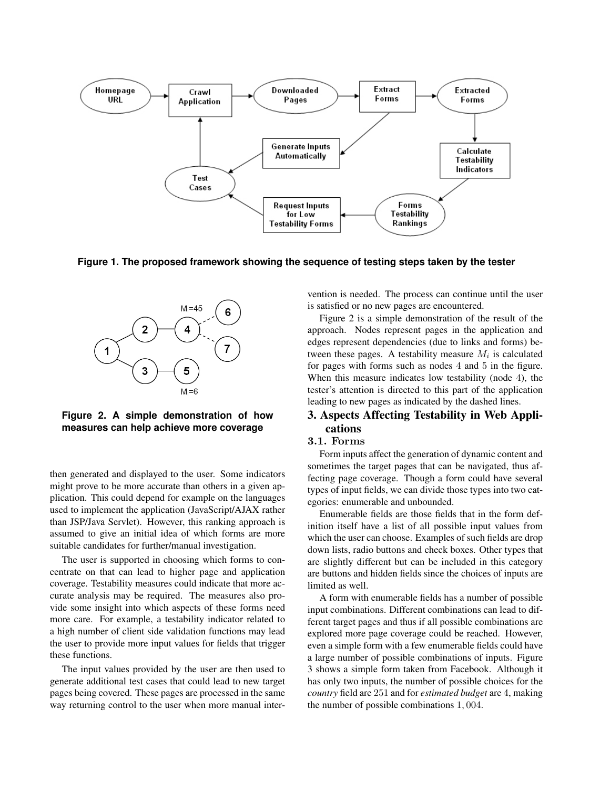

**Figure 1. The proposed framework showing the sequence of testing steps taken by the tester**



**Figure 2. A simple demonstration of how measures can help achieve more coverage**

then generated and displayed to the user. Some indicators might prove to be more accurate than others in a given application. This could depend for example on the languages used to implement the application (JavaScript/AJAX rather than JSP/Java Servlet). However, this ranking approach is assumed to give an initial idea of which forms are more suitable candidates for further/manual investigation.

The user is supported in choosing which forms to concentrate on that can lead to higher page and application coverage. Testability measures could indicate that more accurate analysis may be required. The measures also provide some insight into which aspects of these forms need more care. For example, a testability indicator related to a high number of client side validation functions may lead the user to provide more input values for fields that trigger these functions.

The input values provided by the user are then used to generate additional test cases that could lead to new target pages being covered. These pages are processed in the same way returning control to the user when more manual intervention is needed. The process can continue until the user is satisfied or no new pages are encountered.

Figure 2 is a simple demonstration of the result of the approach. Nodes represent pages in the application and edges represent dependencies (due to links and forms) between these pages. A testability measure  $M_i$  is calculated for pages with forms such as nodes 4 and 5 in the figure. When this measure indicates low testability (node 4), the tester's attention is directed to this part of the application leading to new pages as indicated by the dashed lines.

# 3. Aspects Affecting Testability in Web Applications

## 3.1. Forms

Form inputs affect the generation of dynamic content and sometimes the target pages that can be navigated, thus affecting page coverage. Though a form could have several types of input fields, we can divide those types into two categories: enumerable and unbounded.

Enumerable fields are those fields that in the form definition itself have a list of all possible input values from which the user can choose. Examples of such fields are drop down lists, radio buttons and check boxes. Other types that are slightly different but can be included in this category are buttons and hidden fields since the choices of inputs are limited as well.

A form with enumerable fields has a number of possible input combinations. Different combinations can lead to different target pages and thus if all possible combinations are explored more page coverage could be reached. However, even a simple form with a few enumerable fields could have a large number of possible combinations of inputs. Figure 3 shows a simple form taken from Facebook. Although it has only two inputs, the number of possible choices for the *country* field are 251 and for *estimated budget* are 4, making the number of possible combinations 1, 004.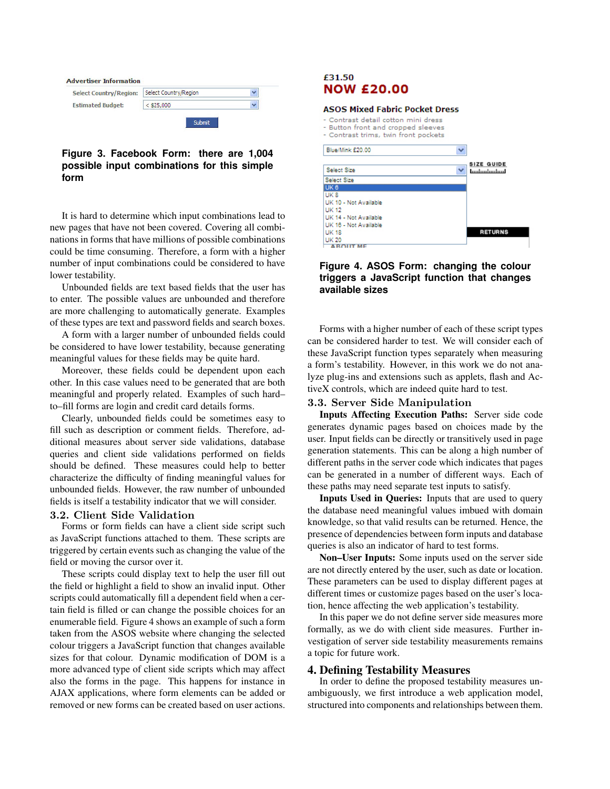

**Figure 3. Facebook Form: there are 1,004 possible input combinations for this simple form**

It is hard to determine which input combinations lead to new pages that have not been covered. Covering all combinations in forms that have millions of possible combinations could be time consuming. Therefore, a form with a higher number of input combinations could be considered to have lower testability.

Unbounded fields are text based fields that the user has to enter. The possible values are unbounded and therefore are more challenging to automatically generate. Examples of these types are text and password fields and search boxes.

A form with a larger number of unbounded fields could be considered to have lower testability, because generating meaningful values for these fields may be quite hard.

Moreover, these fields could be dependent upon each other. In this case values need to be generated that are both meaningful and properly related. Examples of such hard– to–fill forms are login and credit card details forms.

Clearly, unbounded fields could be sometimes easy to fill such as description or comment fields. Therefore, additional measures about server side validations, database queries and client side validations performed on fields should be defined. These measures could help to better characterize the difficulty of finding meaningful values for unbounded fields. However, the raw number of unbounded fields is itself a testability indicator that we will consider.

# 3.2. Client Side Validation

Forms or form fields can have a client side script such as JavaScript functions attached to them. These scripts are triggered by certain events such as changing the value of the field or moving the cursor over it.

These scripts could display text to help the user fill out the field or highlight a field to show an invalid input. Other scripts could automatically fill a dependent field when a certain field is filled or can change the possible choices for an enumerable field. Figure 4 shows an example of such a form taken from the ASOS website where changing the selected colour triggers a JavaScript function that changes available sizes for that colour. Dynamic modification of DOM is a more advanced type of client side scripts which may affect also the forms in the page. This happens for instance in AJAX applications, where form elements can be added or removed or new forms can be created based on user actions.

# £31.50 **NOW £20.00**

#### **ASOS Mixed Fabric Pocket Dress**

- Contrast detail cotton mini dress - Button front and cropped sleeves

- Contrast trims, twin front pockets
- 



# **Figure 4. ASOS Form: changing the colour triggers a JavaScript function that changes available sizes**

Forms with a higher number of each of these script types can be considered harder to test. We will consider each of these JavaScript function types separately when measuring a form's testability. However, in this work we do not analyze plug-ins and extensions such as applets, flash and ActiveX controls, which are indeed quite hard to test.

#### 3.3. Server Side Manipulation

Inputs Affecting Execution Paths: Server side code generates dynamic pages based on choices made by the user. Input fields can be directly or transitively used in page generation statements. This can be along a high number of different paths in the server code which indicates that pages can be generated in a number of different ways. Each of these paths may need separate test inputs to satisfy.

Inputs Used in Queries: Inputs that are used to query the database need meaningful values imbued with domain knowledge, so that valid results can be returned. Hence, the presence of dependencies between form inputs and database queries is also an indicator of hard to test forms.

Non–User Inputs: Some inputs used on the server side are not directly entered by the user, such as date or location. These parameters can be used to display different pages at different times or customize pages based on the user's location, hence affecting the web application's testability.

In this paper we do not define server side measures more formally, as we do with client side measures. Further investigation of server side testability measurements remains a topic for future work.

#### 4. Defining Testability Measures

In order to define the proposed testability measures unambiguously, we first introduce a web application model, structured into components and relationships between them.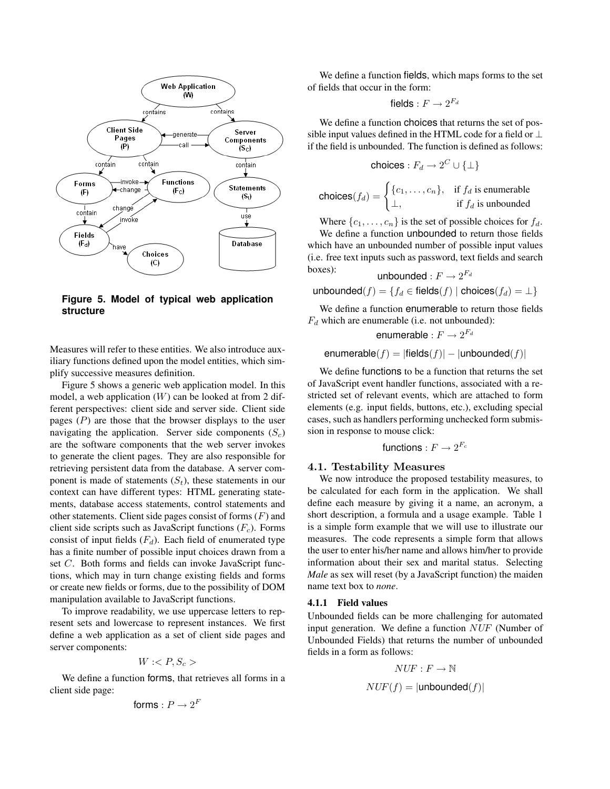

**Figure 5. Model of typical web application structure**

Measures will refer to these entities. We also introduce auxiliary functions defined upon the model entities, which simplify successive measures definition.

Figure 5 shows a generic web application model. In this model, a web application  $(W)$  can be looked at from 2 different perspectives: client side and server side. Client side pages  $(P)$  are those that the browser displays to the user navigating the application. Server side components  $(S_c)$ are the software components that the web server invokes to generate the client pages. They are also responsible for retrieving persistent data from the database. A server component is made of statements  $(S_t)$ , these statements in our context can have different types: HTML generating statements, database access statements, control statements and other statements. Client side pages consist of forms  $(F)$  and client side scripts such as JavaScript functions  $(F_c)$ . Forms consist of input fields  $(F_d)$ . Each field of enumerated type has a finite number of possible input choices drawn from a set C. Both forms and fields can invoke JavaScript functions, which may in turn change existing fields and forms or create new fields or forms, due to the possibility of DOM manipulation available to JavaScript functions.

To improve readability, we use uppercase letters to represent sets and lowercase to represent instances. We first define a web application as a set of client side pages and server components:

$$
W :
$$

We define a function forms, that retrieves all forms in a client side page:

$$
\mathsf{forms}: P \to 2^F
$$

We define a function fields, which maps forms to the set of fields that occur in the form:

$$
\text{fields}: F \to 2^{F_d}
$$

We define a function choices that returns the set of possible input values defined in the HTML code for a field or ⊥ if the field is unbounded. The function is defined as follows:

$$
\textsf{choices}: F_d \to 2^C \cup \{\bot\}
$$

$$
\text{choices}(f_d) = \begin{cases} \{c_1, \dots, c_n\}, & \text{if } f_d \text{ is enumerable} \\ \bot, & \text{if } f_d \text{ is unbounded} \end{cases}
$$

Where  $\{c_1, \ldots, c_n\}$  is the set of possible choices for  $f_d$ .

We define a function unbounded to return those fields which have an unbounded number of possible input values (i.e. free text inputs such as password, text fields and search boxes): unbounded :  $F \to 2$ 

unbounded : 
$$
F \to 2^{F_d}
$$

unbounded(f) = { $f_d \in \text{fields}(f) | \text{ choices}(f_d) = \perp$ }

We define a function enumerable to return those fields  $F_d$  which are enumerable (i.e. not unbounded):

$$
\text{enumerable}: F \rightarrow 2^{F_d}
$$

enumerable(f) =  $|fields(f)| - |unbounded(f)|$ 

We define functions to be a function that returns the set of JavaScript event handler functions, associated with a restricted set of relevant events, which are attached to form elements (e.g. input fields, buttons, etc.), excluding special cases, such as handlers performing unchecked form submission in response to mouse click:

$$
\text{functions}: F \to 2^{F_c}
$$

#### 4.1. Testability Measures

We now introduce the proposed testability measures, to be calculated for each form in the application. We shall define each measure by giving it a name, an acronym, a short description, a formula and a usage example. Table 1 is a simple form example that we will use to illustrate our measures. The code represents a simple form that allows the user to enter his/her name and allows him/her to provide information about their sex and marital status. Selecting *Male* as sex will reset (by a JavaScript function) the maiden name text box to *none*.

#### 4.1.1 Field values

Unbounded fields can be more challenging for automated input generation. We define a function NUF (Number of Unbounded Fields) that returns the number of unbounded fields in a form as follows:

$$
NUF: F \to \mathbb{N}
$$

$$
NUF(f) = |\text{unbounded}(f)|
$$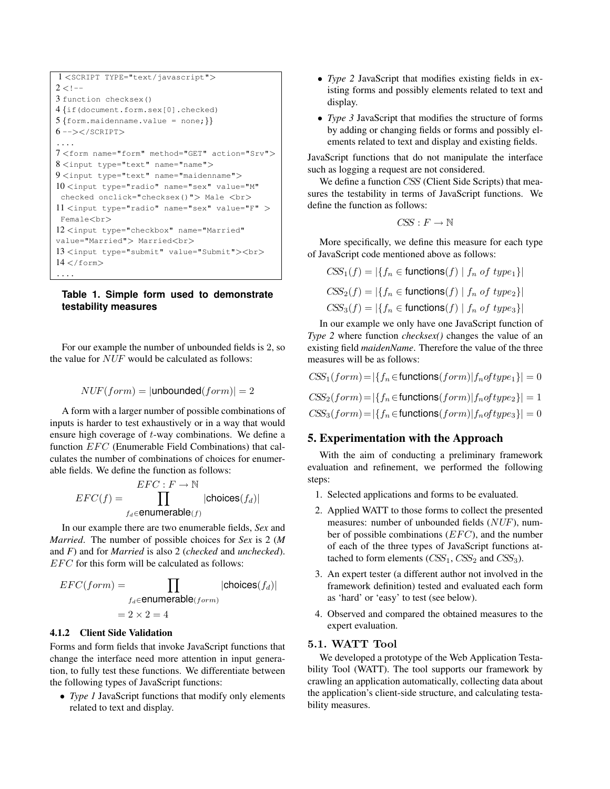```
1 <SCRIPT TYPE="text/javascript">
2 < 1 -3 function checksex()
4 {if(document.form.sex[0].checked)
5 {form.maidenname.value = none;}}
6 --></script>
....
7 <form name="form" method="GET" action="Srv">
8 <input type="text" name="name">
9 <input type="text" name="maidenname">
10 <input type="radio" name="sex" value="M"
checked onclick="checksex()"> Male <br>
11 <input type="radio" name="sex" value="F" >
Female<br>
12 <input type="checkbox" name="Married"
value="Married"> Married<br>
13 <input type="submit" value="Submit"><br>
14 </form>
....
```
# **Table 1. Simple form used to demonstrate testability measures**

For our example the number of unbounded fields is 2, so the value for NUF would be calculated as follows:

$$
\mathit{NUF}(form) = |\text{unbounded}(form)| = 2
$$

A form with a larger number of possible combinations of inputs is harder to test exhaustively or in a way that would ensure high coverage of t-way combinations. We define a function  $EFC$  (Enumerable Field Combinations) that calculates the number of combinations of choices for enumerable fields. We define the function as follows:

$$
EFC(f) = \prod_{f_d \in \text{enumerate}}^{EFC \text{ : } F \to \mathbb{N}} |\text{choices}(f_d)|
$$

In our example there are two enumerable fields, *Sex* and *Married*. The number of possible choices for *Sex* is 2 (*M* and *F*) and for *Married* is also 2 (*checked* and *unchecked*).  $EFC$  for this form will be calculated as follows:

$$
EFC(from) = \prod_{f_d \in \text{enumerable}(form)} |\text{choices}(f_d)|
$$

$$
= 2 \times 2 = 4
$$

#### 4.1.2 Client Side Validation

Forms and form fields that invoke JavaScript functions that change the interface need more attention in input generation, to fully test these functions. We differentiate between the following types of JavaScript functions:

• *Type 1* JavaScript functions that modify only elements related to text and display.

- *Type 2* JavaScript that modifies existing fields in existing forms and possibly elements related to text and display.
- *Type 3* JavaScript that modifies the structure of forms by adding or changing fields or forms and possibly elements related to text and display and existing fields.

JavaScript functions that do not manipulate the interface such as logging a request are not considered.

We define a function CSS (Client Side Scripts) that measures the testability in terms of JavaScript functions. We define the function as follows:

$$
\mathit{CSS} : F \to \mathbb{N}
$$

More specifically, we define this measure for each type of JavaScript code mentioned above as follows:

$$
CSS_1(f) = |\{f_n \in \text{functions}(f) \mid f_n \text{ of type}_1\}|
$$
  

$$
CSS_2(f) = |\{f_n \in \text{functions}(f) \mid f_n \text{ of type}_2\}|
$$
  

$$
CSS_3(f) = |\{f_n \in \text{functions}(f) \mid f_n \text{ of type}_3\}|
$$

In our example we only have one JavaScript function of *Type 2* where function *checksex()* changes the value of an existing field *maidenName*. Therefore the value of the three measures will be as follows:

| $CSS_1(from) =  \{f_n \in \text{functions}(form)   f_n of type_1\}  = 0$ |
|--------------------------------------------------------------------------|
| $CSS_2(from) =  \{f_n \in \text{functions}(form)   f_n of type_2\}  = 1$ |
| $CSS_3(from) =  \{f_n \in \text{functions}(form)   f_n of type_3\}  = 0$ |

## 5. Experimentation with the Approach

With the aim of conducting a preliminary framework evaluation and refinement, we performed the following steps:

- 1. Selected applications and forms to be evaluated.
- 2. Applied WATT to those forms to collect the presented measures: number of unbounded fields (NUF), number of possible combinations  $(EFC)$ , and the number of each of the three types of JavaScript functions attached to form elements  $(CSS_1, CSS_2$  and  $CSS_3)$ .
- 3. An expert tester (a different author not involved in the framework definition) tested and evaluated each form as 'hard' or 'easy' to test (see below).
- 4. Observed and compared the obtained measures to the expert evaluation.

### 5.1. WATT Tool

We developed a prototype of the Web Application Testability Tool (WATT). The tool supports our framework by crawling an application automatically, collecting data about the application's client-side structure, and calculating testability measures.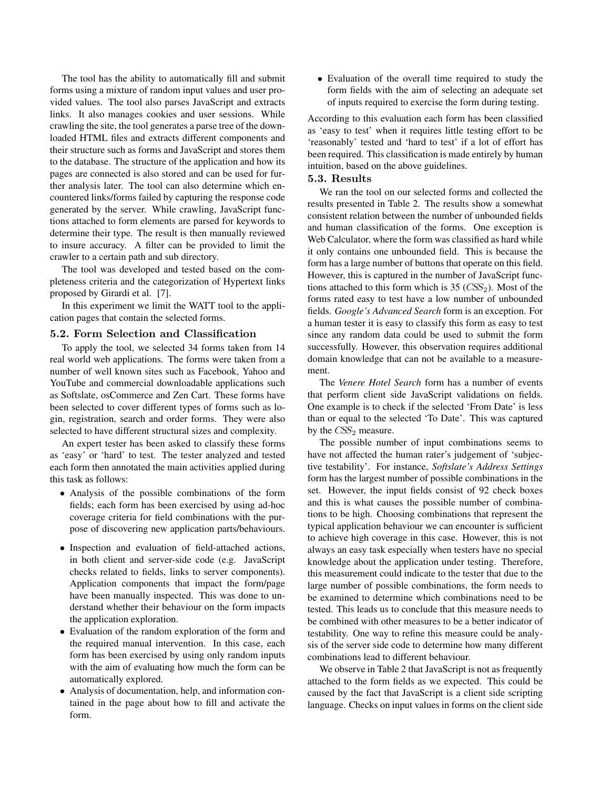The tool has the ability to automatically fill and submit forms using a mixture of random input values and user provided values. The tool also parses JavaScript and extracts links. It also manages cookies and user sessions. While crawling the site, the tool generates a parse tree of the downloaded HTML files and extracts different components and their structure such as forms and JavaScript and stores them to the database. The structure of the application and how its pages are connected is also stored and can be used for further analysis later. The tool can also determine which encountered links/forms failed by capturing the response code generated by the server. While crawling, JavaScript functions attached to form elements are parsed for keywords to determine their type. The result is then manually reviewed to insure accuracy. A filter can be provided to limit the crawler to a certain path and sub directory.

The tool was developed and tested based on the completeness criteria and the categorization of Hypertext links proposed by Girardi et al. [7].

In this experiment we limit the WATT tool to the application pages that contain the selected forms.

# 5.2. Form Selection and Classification

To apply the tool, we selected 34 forms taken from 14 real world web applications. The forms were taken from a number of well known sites such as Facebook, Yahoo and YouTube and commercial downloadable applications such as Softslate, osCommerce and Zen Cart. These forms have been selected to cover different types of forms such as login, registration, search and order forms. They were also selected to have different structural sizes and complexity.

An expert tester has been asked to classify these forms as 'easy' or 'hard' to test. The tester analyzed and tested each form then annotated the main activities applied during this task as follows:

- Analysis of the possible combinations of the form fields; each form has been exercised by using ad-hoc coverage criteria for field combinations with the purpose of discovering new application parts/behaviours.
- Inspection and evaluation of field-attached actions, in both client and server-side code (e.g. JavaScript checks related to fields, links to server components). Application components that impact the form/page have been manually inspected. This was done to understand whether their behaviour on the form impacts the application exploration.
- Evaluation of the random exploration of the form and the required manual intervention. In this case, each form has been exercised by using only random inputs with the aim of evaluating how much the form can be automatically explored.
- Analysis of documentation, help, and information contained in the page about how to fill and activate the form.

• Evaluation of the overall time required to study the form fields with the aim of selecting an adequate set of inputs required to exercise the form during testing.

According to this evaluation each form has been classified as 'easy to test' when it requires little testing effort to be 'reasonably' tested and 'hard to test' if a lot of effort has been required. This classification is made entirely by human intuition, based on the above guidelines.

#### 5.3. Results

We ran the tool on our selected forms and collected the results presented in Table 2. The results show a somewhat consistent relation between the number of unbounded fields and human classification of the forms. One exception is Web Calculator, where the form was classified as hard while it only contains one unbounded field. This is because the form has a large number of buttons that operate on this field. However, this is captured in the number of JavaScript functions attached to this form which is  $35 (CSS<sub>2</sub>)$ . Most of the forms rated easy to test have a low number of unbounded fields. *Google's Advanced Search* form is an exception. For a human tester it is easy to classify this form as easy to test since any random data could be used to submit the form successfully. However, this observation requires additional domain knowledge that can not be available to a measurement.

The *Venere Hotel Search* form has a number of events that perform client side JavaScript validations on fields. One example is to check if the selected 'From Date' is less than or equal to the selected 'To Date'. This was captured by the  $CSS_2$  measure.

The possible number of input combinations seems to have not affected the human rater's judgement of 'subjective testability'. For instance, *Softslate's Address Settings* form has the largest number of possible combinations in the set. However, the input fields consist of 92 check boxes and this is what causes the possible number of combinations to be high. Choosing combinations that represent the typical application behaviour we can encounter is sufficient to achieve high coverage in this case. However, this is not always an easy task especially when testers have no special knowledge about the application under testing. Therefore, this measurement could indicate to the tester that due to the large number of possible combinations, the form needs to be examined to determine which combinations need to be tested. This leads us to conclude that this measure needs to be combined with other measures to be a better indicator of testability. One way to refine this measure could be analysis of the server side code to determine how many different combinations lead to different behaviour.

We observe in Table 2 that JavaScript is not as frequently attached to the form fields as we expected. This could be caused by the fact that JavaScript is a client side scripting language. Checks on input values in forms on the client side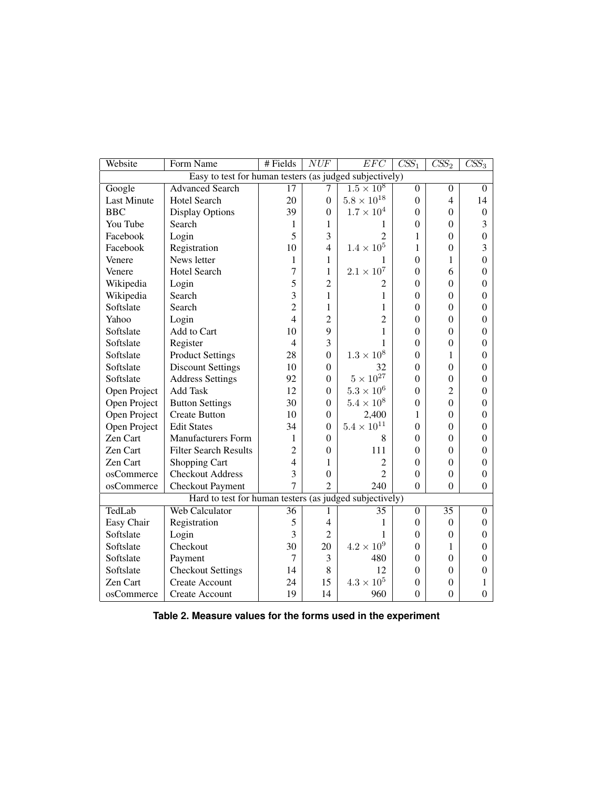| Website                                                 | Form Name                    | # Fields        | $\overline{NUF}$ | $\overline{EFC}$    | $\overline{CSS}_1$ | $\overline{CSS_2}$ | $\overline{CSS_3}$ |  |
|---------------------------------------------------------|------------------------------|-----------------|------------------|---------------------|--------------------|--------------------|--------------------|--|
| Easy to test for human testers (as judged subjectively) |                              |                 |                  |                     |                    |                    |                    |  |
| Google                                                  | <b>Advanced Search</b>       | $\overline{17}$ | 7                | $1.5 \times 10^8$   | $\boldsymbol{0}$   | $\theta$           | $\Omega$           |  |
| <b>Last Minute</b>                                      | <b>Hotel Search</b>          | 20              | $\mathbf{0}$     | $5.8\times10^{18}$  | $\mathbf{0}$       | $\overline{4}$     | 14                 |  |
| <b>BBC</b>                                              | <b>Display Options</b>       | 39              | $\mathbf{0}$     | $1.7 \times 10^{4}$ | $\mathbf{0}$       | $\boldsymbol{0}$   | $\boldsymbol{0}$   |  |
| You Tube                                                | Search                       | 1               | 1                | 1                   | $\mathbf{0}$       | $\boldsymbol{0}$   | 3                  |  |
| Facebook                                                | Login                        | 5               | 3                | $\mathfrak{D}$      | 1                  | $\boldsymbol{0}$   | $\boldsymbol{0}$   |  |
| Facebook                                                | Registration                 | 10              | $\overline{4}$   | $1.4 \times 10^{5}$ | 1                  | $\boldsymbol{0}$   | 3                  |  |
| Venere                                                  | News letter                  | 1               | 1                |                     | $\mathbf{0}$       | 1                  | $\boldsymbol{0}$   |  |
| Venere                                                  | <b>Hotel Search</b>          | 7               | 1                | $2.1\times10^7$     | $\overline{0}$     | 6                  | $\theta$           |  |
| Wikipedia                                               | Login                        | 5               | $\overline{2}$   | 2                   | $\overline{0}$     | $\overline{0}$     | $\theta$           |  |
| Wikipedia                                               | Search                       | 3               | 1                | 1                   | $\boldsymbol{0}$   | $\overline{0}$     | 0                  |  |
| Softslate                                               | Search                       | $\overline{2}$  | 1                | 1                   | $\overline{0}$     | $\theta$           | 0                  |  |
| Yahoo                                                   | Login                        | $\overline{4}$  | $\overline{c}$   | $\overline{c}$      | $\mathbf{0}$       | $\boldsymbol{0}$   | $\theta$           |  |
| Softslate                                               | Add to Cart                  | 10              | 9                | 1                   | $\mathbf{0}$       | $\boldsymbol{0}$   | $\theta$           |  |
| Softslate                                               | Register                     | $\overline{4}$  | 3                |                     | $\mathbf{0}$       | $\boldsymbol{0}$   | $\theta$           |  |
| Softslate                                               | <b>Product Settings</b>      | 28              | $\overline{0}$   | $1.3\times10^8$     | $\mathbf{0}$       | 1                  | $\theta$           |  |
| Softslate                                               | <b>Discount Settings</b>     | 10              | $\theta$         | 32                  | $\mathbf{0}$       | $\boldsymbol{0}$   | $\theta$           |  |
| Softslate                                               | <b>Address Settings</b>      | 92              | $\theta$         | $5\times10^{27}$    | $\mathbf{0}$       | $\boldsymbol{0}$   | $\theta$           |  |
| Open Project                                            | <b>Add Task</b>              | 12              | $\boldsymbol{0}$ | $5.3 \times 10^6$   | $\mathbf{0}$       | $\overline{c}$     | $\theta$           |  |
| Open Project                                            | <b>Button Settings</b>       | 30              | $\boldsymbol{0}$ | $5.4\times10^8$     | $\mathbf{0}$       | $\boldsymbol{0}$   | $\theta$           |  |
| Open Project                                            | <b>Create Button</b>         | 10              | $\boldsymbol{0}$ | 2,400               | 1                  | $\boldsymbol{0}$   | $\theta$           |  |
| Open Project                                            | <b>Edit States</b>           | 34              | $\boldsymbol{0}$ | $5.4\times10^{11}$  | $\overline{0}$     | $\overline{0}$     | $\theta$           |  |
| Zen Cart                                                | <b>Manufacturers Form</b>    | 1               | $\theta$         | 8                   | $\overline{0}$     | $\overline{0}$     | 0                  |  |
| Zen Cart                                                | <b>Filter Search Results</b> | $\overline{2}$  | $\theta$         | 111                 | $\overline{0}$     | $\theta$           | 0                  |  |
| Zen Cart                                                | Shopping Cart                | 4               | 1                | $\overline{c}$      | $\mathbf{0}$       | $\boldsymbol{0}$   | $\theta$           |  |
| osCommerce                                              | <b>Checkout Address</b>      | 3               | $\theta$         | $\overline{2}$      | $\mathbf{0}$       | $\boldsymbol{0}$   | $\theta$           |  |
| osCommerce                                              | <b>Checkout Payment</b>      | $\overline{7}$  | $\mathfrak{D}$   | 240                 | $\theta$           | $\theta$           | $\Omega$           |  |
| Hard to test for human testers (as judged subjectively) |                              |                 |                  |                     |                    |                    |                    |  |
| TedLab                                                  | <b>Web Calculator</b>        | $\overline{36}$ | 1                | $\overline{35}$     | $\boldsymbol{0}$   | $\overline{35}$    | $\boldsymbol{0}$   |  |
| Easy Chair                                              | Registration                 | 5               | $\overline{4}$   | 1                   | $\boldsymbol{0}$   | $\boldsymbol{0}$   | $\mathbf{0}$       |  |
| Softslate                                               | Login                        | 3               | $\overline{2}$   |                     | $\overline{0}$     | $\boldsymbol{0}$   | $\theta$           |  |
| Softslate                                               | Checkout                     | 30              | 20               | $4.2\times10^9$     | $\overline{0}$     | 1                  | $\theta$           |  |
| Softslate                                               | Payment                      | $\overline{7}$  | 3                | 480                 | $\overline{0}$     | $\boldsymbol{0}$   | $\theta$           |  |
| Softslate                                               | <b>Checkout Settings</b>     | 14              | 8                | 12                  | $\boldsymbol{0}$   | $\boldsymbol{0}$   | 0                  |  |
| Zen Cart                                                | <b>Create Account</b>        | 24              | 15               | $4.3 \times 10^{5}$ | $\boldsymbol{0}$   | $\boldsymbol{0}$   | 1                  |  |
| osCommerce                                              | Create Account               | 19              | 14               | 960                 | $\mathbf{0}$       | $\boldsymbol{0}$   | $\mathbf{0}$       |  |

**Table 2. Measure values for the forms used in the experiment**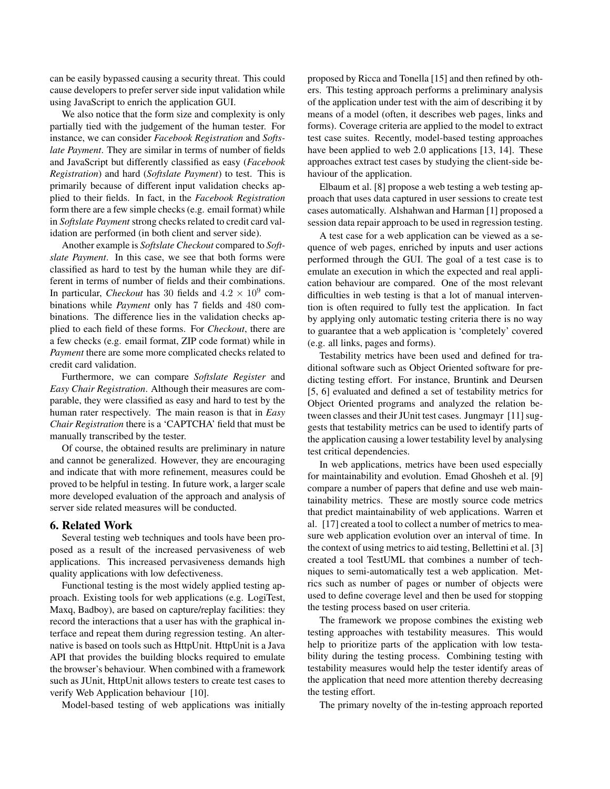can be easily bypassed causing a security threat. This could cause developers to prefer server side input validation while using JavaScript to enrich the application GUI.

We also notice that the form size and complexity is only partially tied with the judgement of the human tester. For instance, we can consider *Facebook Registration* and *Softslate Payment*. They are similar in terms of number of fields and JavaScript but differently classified as easy (*Facebook Registration*) and hard (*Softslate Payment*) to test. This is primarily because of different input validation checks applied to their fields. In fact, in the *Facebook Registration* form there are a few simple checks (e.g. email format) while in *Softslate Payment* strong checks related to credit card validation are performed (in both client and server side).

Another example is *Softslate Checkout* compared to *Softslate Payment*. In this case, we see that both forms were classified as hard to test by the human while they are different in terms of number of fields and their combinations. In particular, *Checkout* has 30 fields and  $4.2 \times 10^9$  combinations while *Payment* only has 7 fields and 480 combinations. The difference lies in the validation checks applied to each field of these forms. For *Checkout*, there are a few checks (e.g. email format, ZIP code format) while in *Payment* there are some more complicated checks related to credit card validation.

Furthermore, we can compare *Softslate Register* and *Easy Chair Registration*. Although their measures are comparable, they were classified as easy and hard to test by the human rater respectively. The main reason is that in *Easy Chair Registration* there is a 'CAPTCHA' field that must be manually transcribed by the tester.

Of course, the obtained results are preliminary in nature and cannot be generalized. However, they are encouraging and indicate that with more refinement, measures could be proved to be helpful in testing. In future work, a larger scale more developed evaluation of the approach and analysis of server side related measures will be conducted.

#### 6. Related Work

Several testing web techniques and tools have been proposed as a result of the increased pervasiveness of web applications. This increased pervasiveness demands high quality applications with low defectiveness.

Functional testing is the most widely applied testing approach. Existing tools for web applications (e.g. LogiTest, Maxq, Badboy), are based on capture/replay facilities: they record the interactions that a user has with the graphical interface and repeat them during regression testing. An alternative is based on tools such as HttpUnit. HttpUnit is a Java API that provides the building blocks required to emulate the browser's behaviour. When combined with a framework such as JUnit, HttpUnit allows testers to create test cases to verify Web Application behaviour [10].

Model-based testing of web applications was initially

proposed by Ricca and Tonella [15] and then refined by others. This testing approach performs a preliminary analysis of the application under test with the aim of describing it by means of a model (often, it describes web pages, links and forms). Coverage criteria are applied to the model to extract test case suites. Recently, model-based testing approaches have been applied to web 2.0 applications [13, 14]. These approaches extract test cases by studying the client-side behaviour of the application.

Elbaum et al. [8] propose a web testing a web testing approach that uses data captured in user sessions to create test cases automatically. Alshahwan and Harman [1] proposed a session data repair approach to be used in regression testing.

A test case for a web application can be viewed as a sequence of web pages, enriched by inputs and user actions performed through the GUI. The goal of a test case is to emulate an execution in which the expected and real application behaviour are compared. One of the most relevant difficulties in web testing is that a lot of manual intervention is often required to fully test the application. In fact by applying only automatic testing criteria there is no way to guarantee that a web application is 'completely' covered (e.g. all links, pages and forms).

Testability metrics have been used and defined for traditional software such as Object Oriented software for predicting testing effort. For instance, Bruntink and Deursen [5, 6] evaluated and defined a set of testability metrics for Object Oriented programs and analyzed the relation between classes and their JUnit test cases. Jungmayr [11] suggests that testability metrics can be used to identify parts of the application causing a lower testability level by analysing test critical dependencies.

In web applications, metrics have been used especially for maintainability and evolution. Emad Ghosheh et al. [9] compare a number of papers that define and use web maintainability metrics. These are mostly source code metrics that predict maintainability of web applications. Warren et al. [17] created a tool to collect a number of metrics to measure web application evolution over an interval of time. In the context of using metrics to aid testing, Bellettini et al. [3] created a tool TestUML that combines a number of techniques to semi-automatically test a web application. Metrics such as number of pages or number of objects were used to define coverage level and then be used for stopping the testing process based on user criteria.

The framework we propose combines the existing web testing approaches with testability measures. This would help to prioritize parts of the application with low testability during the testing process. Combining testing with testability measures would help the tester identify areas of the application that need more attention thereby decreasing the testing effort.

The primary novelty of the in-testing approach reported